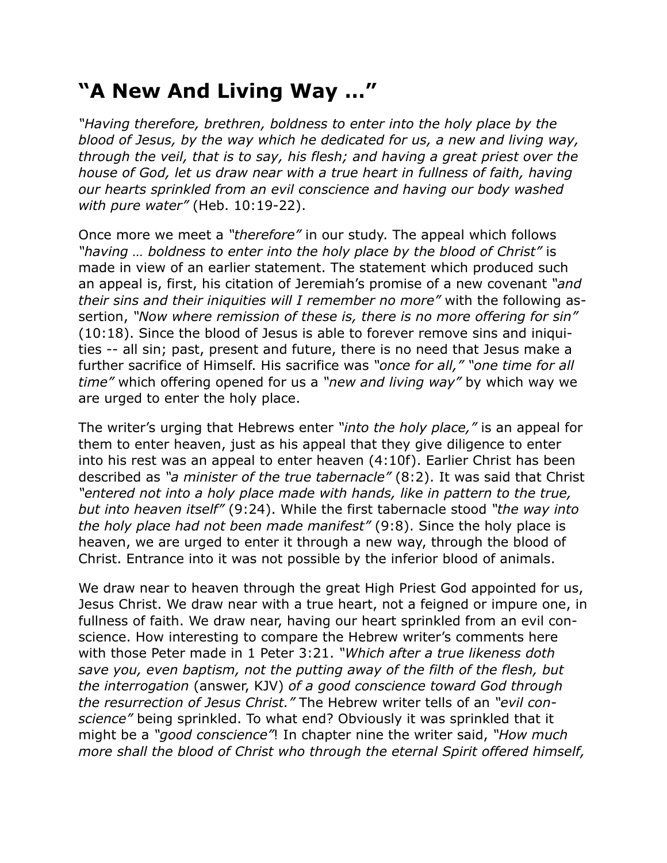## **"A New And Living Way …"**

*"Having therefore, brethren, boldness to enter into the holy place by the blood of Jesus, by the way which he dedicated for us, a new and living way, through the veil, that is to say, his flesh; and having a great priest over the house of God, let us draw near with a true heart in fullness of faith, having our hearts sprinkled from an evil conscience and having our body washed with pure water"* (Heb. 10:19-22).

Once more we meet a *"therefore"* in our study. The appeal which follows *"having … boldness to enter into the holy place by the blood of Christ"* is made in view of an earlier statement. The statement which produced such an appeal is, first, his citation of Jeremiah's promise of a new covenant *"and their sins and their iniquities will I remember no more"* with the following assertion, *"Now where remission of these is, there is no more offering for sin"*  (10:18). Since the blood of Jesus is able to forever remove sins and iniquities -- all sin; past, present and future, there is no need that Jesus make a further sacrifice of Himself. His sacrifice was *"once for all," "one time for all time"* which offering opened for us a *"new and living way"* by which way we are urged to enter the holy place.

The writer's urging that Hebrews enter *"into the holy place,"* is an appeal for them to enter heaven, just as his appeal that they give diligence to enter into his rest was an appeal to enter heaven (4:10f). Earlier Christ has been described as *"a minister of the true tabernacle"* (8:2). It was said that Christ *"entered not into a holy place made with hands, like in pattern to the true, but into heaven itself"* (9:24). While the first tabernacle stood *"the way into the holy place had not been made manifest"* (9:8). Since the holy place is heaven, we are urged to enter it through a new way, through the blood of Christ. Entrance into it was not possible by the inferior blood of animals.

We draw near to heaven through the great High Priest God appointed for us, Jesus Christ. We draw near with a true heart, not a feigned or impure one, in fullness of faith. We draw near, having our heart sprinkled from an evil conscience. How interesting to compare the Hebrew writer's comments here with those Peter made in 1 Peter 3:21. *"Which after a true likeness doth save you, even baptism, not the putting away of the filth of the flesh, but the interrogation* (answer, KJV) *of a good conscience toward God through the resurrection of Jesus Christ."* The Hebrew writer tells of an *"evil conscience"* being sprinkled. To what end? Obviously it was sprinkled that it might be a *"good conscience"*! In chapter nine the writer said, *"How much more shall the blood of Christ who through the eternal Spirit offered himself,*